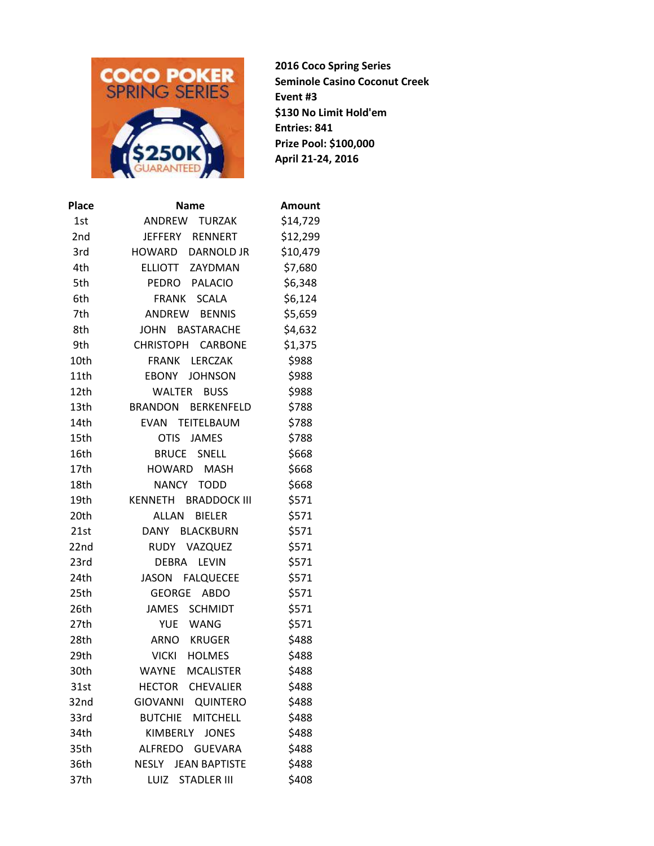

**2016 Coco Spring Series Seminole Casino Coconut Creek Event #3 \$130 No Limit Hold'em Entries: 841 Prize Pool: \$100,000 April 21-24, 2016**

| <b>Name</b>                        | Amount   |
|------------------------------------|----------|
| ANDREW TURZAK                      | \$14,729 |
| JEFFERY RENNERT                    | \$12,299 |
| HOWARD<br><b>DARNOLD JR</b>        | \$10,479 |
| ELLIOTT ZAYDMAN                    | \$7,680  |
| PEDRO PALACIO                      | \$6,348  |
| FRANK<br><b>SCALA</b>              | \$6,124  |
| ANDREW BENNIS                      | \$5,659  |
| <b>JOHN</b><br><b>BASTARACHE</b>   | \$4,632  |
| CHRISTOPH CARBONE                  | \$1,375  |
| <b>FRANK</b><br>LERCZAK            | \$988    |
| EBONY<br><b>JOHNSON</b>            | \$988    |
| WALTER BUSS                        | \$988    |
| BERKENFELD<br><b>BRANDON</b>       | \$788    |
| EVAN TEITELBAUM                    | \$788    |
| <b>OTIS</b><br>JAMES               | \$788    |
| <b>BRUCE SNELL</b>                 | \$668    |
| HOWARD MASH                        | \$668    |
| NANCY TODD                         | \$668    |
| KENNETH BRADDOCK III               | \$571    |
| ALLAN<br><b>BIELER</b>             | \$571    |
| DANY BLACKBURN                     | \$571    |
| RUDY VAZQUEZ                       | \$571    |
| DEBRA LEVIN                        | \$571    |
| JASON FALQUECEE                    | \$571    |
| GEORGE<br><b>ABDO</b>              | \$571    |
| JAMES SCHMIDT                      | \$571    |
| <b>YUE</b><br>WANG                 | \$571    |
| ARNO KRUGER                        | \$488    |
| VICKI HOLMES                       | \$488    |
| WAYNE<br><b>MCALISTER</b>          | \$488    |
| <b>HECTOR</b><br><b>CHEVALIER</b>  | \$488    |
| <b>GIOVANNI</b><br><b>QUINTERO</b> | \$488    |
| <b>BUTCHIE</b><br><b>MITCHELL</b>  | \$488    |
| <b>KIMBERLY</b><br><b>JONES</b>    | \$488    |
| ALFREDO GUEVARA                    | \$488    |
| <b>NESLY JEAN BAPTISTE</b>         | \$488    |
| <b>STADLER III</b><br>LUIZ         | \$408    |
|                                    |          |